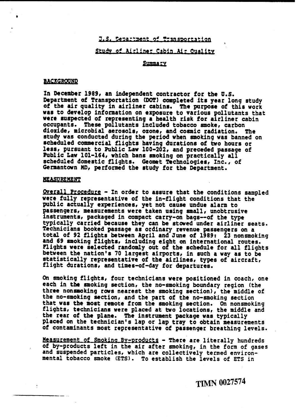## J.S. Cepartment of Transportation

# Study of Airliner Cabin Air Quality

## **Summary**

### **BACKGROUND**

**In** December 1989, an independent contractor for **tbe O.S.**  Department of Transportation **(DOT)** completed its year long study of the air quality in airliner cabins. **The** purpose of this work was to develop information on exposure to various pollutants that were suspected of representing a health risk for airliner cabin occupants. These pollutants included tobacco smoke, carbon<br>dioxide, microbial aerosols, ozone, and cosmic radiation. The dioxide, microbial aerosols, ozone, and cosmic radiation. study was conducted during the period when smoking was banned on scheduled commercial flights having durations **of** two hours or less, pursuant to Public Law 100-202, and preceded passage of Public Law 101-164, which bans smoking on practically **all**  8cheduled domestic flights. Geomact Technologies, **Inc.,** of Germantown **MD,** performed the study for the Department.

### MEASUREMENT

Overall Procedure - In order to assure that the conditions sampled were fully representative of the in-flight conditions that the public actually experience8, yet not cause undue alarm to passengers, measurements were taken using **small,** unobtrusive instruments, packaged in compact carry-on bags--of the type<br>typically carried because they can be stowed under airliner seats. Technicians booked passage as ordinary revenue passengers on a<br>total of 92 flights between April and June of 1989: 23 nonsmoking and 69 smoking flights, including eight on international routes. <sup>2</sup><br>Plights were selected randomly out of the schedule for all flights Plights were selected randomly out of the schedule for all flights between the nation's 70 largest airports, in such a way as to be statistically representative of the airlines, types of aircraft,<br>flight durations, and times-of-day for departures.

On smoking flights, four technicians were positioned in coach, one each in the smoking section, the no-smoking boundary region (the three nonsmoking rows nearest the smoking section), the middle of the no-smoking section, and the part of the no-smoking section that was the most remote from the smoking section. On nonsmoking flights, technicians were placed at two locations, the middle and the rear of the plane. The instrument package was typically placed on the technician's lap or lap tray to obtain measurements of contaminants most representative of passenger breathing levels.

Measurement of Smoking By-products - There are literally hundreds<br>of by-products left in the air after smoking, in the form of gases<br>and suspended particles, which are collectively termed environmental tobacco smoke **(ETS).** To establish the levels of ETS in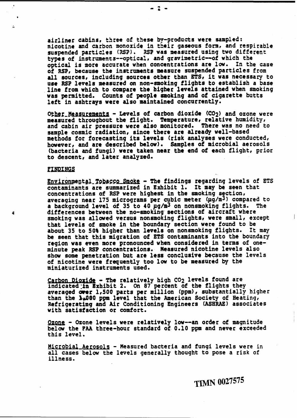**airlfner** cabins, **thee** of **t5aaa by-products were sampled:**  nicotiaa **and carbon** monoxide in **tkeir** gaseous form, and respirable suspended particles **(ST). Z3P was** measured using two **different**  types of instruments--optical, and gravimetric--of which the optical is mote **accurate when** concentrations are low. In the **case**  of **RSP,** because the instrmants measure suspended particles from all wutces, including sources **other** than **ETS,** it was necessary to use RSP levels measured on non-smoking flights to establish a base line from which to compare the bigher levels attained when smoking was permitted. Counts of people smoking and of cigarette butts left in ashtrays were also maintained concurrently.

Other Measurements - Levels of carbon dioxide (CO<sub>2</sub>) and ozone were measured throughout the flight. Temperature, relative humidity, and cabin air pressure **were also** monitored. There was no need to sample cosmic radiation, since there are already well-based methods for forecasting its levels (risk analyses were conducted, however, and are described **below).** Samples **of** microbial aerosols (bacteria and fungi) were taken near the end of each flight, prior to descent, and later analyzed.

#### **FINDINGS**

Environmental\_Tobacco\_Smoke - The findings regarding levels of ETS contaminants are summarized in Exhibit 1. It may **be seen** that concentrations of RSP were highest in the smoking section, averaging near 175 micrograms per cubic meter **(pg/m3)** compared to a background level of 35 to 40 pg/m<sup>3</sup> on nonsmoking flights. The differences between the no-smoking. sections of aircraft where smoking was allowed versus nonsmoking flights, were small, except that levels of smoke in the boundary section were found to **be**  about 35 to 50% higher than levels on nonsmoking flights. It may<br>be seen that this migration of ETS contaminants into the boundary region was even more pronounced when considered in terms of one**minute** peak **RSP** concentrations. Measured nicotine levels also show some penetration but are less conclusive because the levels of nicotine were frequently too low to be measuted by the miniaturized instruments used.

Carbon Dioxide - The relatively high CO<sub>2</sub> levels found are<br>indicated in Exhibit 2. On 87 percent of the flights they<br>averaged over 1,500 parts per million (ppm), substantially higher<br>than the 1.000 ppm level that the Amer than the 1.000 ppm level that the American Society of Heating,<br>Refrigerating and Air Conditioning Engineers (ASHRAE) associates with satisfaction or comfort.

Ozong - Ozone levels were relatively low--an order of magnitude belaw the **FAA** three-hour standard of 0.10 **ppm** and never exceeded **this** level.

Microbial Aerosols - Measured bacteria and fungi levels were in all **cases below** the levels **generally** thought to pose a risk of illness.

**TIMN 0027575**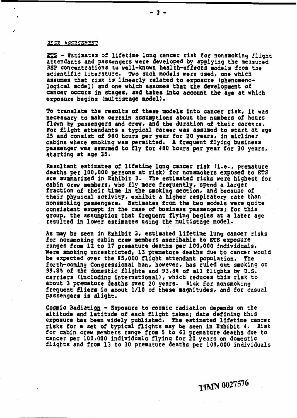### RISK ASSESSMENT

- **Estiaateg of** lifetime lung cancer risk for nonsmoking f:ight attendants and ?assenqers were developed **by** applying the **seasured**  RSP concentrations to well-known health-effects models from the scientific literature. Two such models were used, one which<br>assumes that risk is linearly related to exposure (phenomenological model) and one which assumes that the development of **cancer** occurs in stages, and takes into account **the** age at which exposure begins (multistage model **1.** 

To translate the results of these **models** into cancer risk, it **was**  necessary to make certain assumptions about the numbers of hours flown **by** passengers and crew, and the duration of their careers. For flight attendants a typical career was assumed to start at **age** 25 and consist of 960 hours per year for 20 years, in airliner cabins where smoking was permitted. **A** frequent flying business passenger was assumed to fly for 480 hours **pee** year for 30 years, starting at age **35.** 

Resultant estimates of lifetime lung cancer risk (i.e., premature deaths pcr 100,000 persons at risk) for nonsmokers exposed to ETS are summarized in Exhibit 3. The estimated risks were highest for cabin crew members, who fly more frequently, spend a larger fraction of their time in the smoking section, and because of their physical activity, exhibit a higher respiratory rate than nonsmoking passengers. Estimates from the two models were quite<br>consistent except in the case of business passengers; for this group, the assumption that frequent flying begins at a later age resulted in lower estimates using the multistage model.

**As may** be seen in Exhibit 3, estimated lifetime lung cancer risks for nonsmoking cabin crew members ascribable to **ETS** exposure ranges from 12 to **17** premature deaths per 100,000 individuals. Were smoking unrestricted, 13 premature deaths due to cancer would be expected wet the 85,000 flight attendant population. The **f** orth-coming Congressional ban, however, has ruled out smoking on **99.81** of the domestic flights and 93.8% of all flights by **U.S.**  carriers (including international **1** , which reduces this risk **to**  about 3 pt-ature deaths over 20 years. **Risk** for nonsmoking frequent fliers is about 1/10 of these magnitudes, and for casual passengera ia alight.

Cosmic Radiation - Exposure to cosmic radiation depends on the altitude and latitude of each flight taken; data defining this exposure has been widely published. The estimated lifetime cancer risks for a set of typical flights may be seen in Exhibit 4. Risk for cabin crew members range from **5** to 61 premature deaths due to cancer **per** 100,000 individuals flying for 20 years on domestic flights and from 13 to 30 premature deaths **per** 100,000 individuals

**TIMN 0027576**